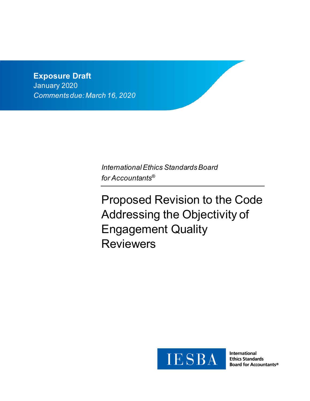# **Exposure Draft** January 2020 *Comments due: March 16, 2020*

*International Ethics Standards Board for Accountants®*

Proposed Revision to the Code Addressing the Objectivity of Engagement Quality Reviewers



**International Ethics Standards Board for Accountants®**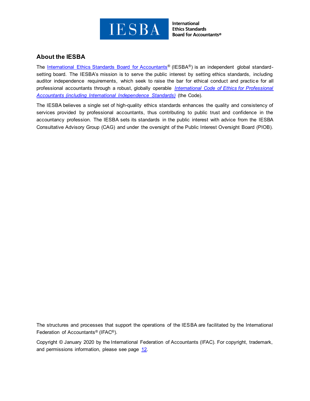

# **About the IESBA**

The [International Ethics Standards Board for Accountants](http://www.ethicsboard.org/)<sup>®</sup> (IESBA<sup>®</sup>) is an independent global standardsetting board. The IESBA's mission is to serve the public interest by setting ethics standards, including auditor independence requirements, which seek to raise the bar for ethical conduct and practice for all professional accountants through a robust, globally operable *[International Code of Ethics for Professional](https://www.ethicsboard.org/international-code-ethics-professional-accountants)  [Accountants \(including International Independence Standards\)](https://www.ethicsboard.org/international-code-ethics-professional-accountants)* (the Code).

The IESBA believes a single set of high-quality ethics standards enhances the quality and consistency of services provided by professional accountants, thus contributing to public trust and confidence in the accountancy profession. The IESBA sets its standards in the public interest with advice from the IESBA Consultative Advisory Group (CAG) and under the oversight of the Public Interest Oversight Board (PIOB).

The structures and processes that support the operations of the IESBA are facilitated by the International Federation of Accountants® (IFAC®).

Copyright © January 2020 by the International Federation of Accountants (IFAC). For copyright, trademark, and permissions information, please see page [12.](#page-11-0)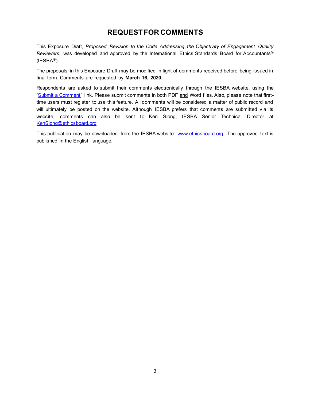# **REQUEST FOR COMMENTS**

This Exposure Draft, *Proposed Revision to the Code Addressing the Objectivity of Engagement Quality Reviewers*, was developed and approved by the International Ethics Standards Board for Accountants®  $(IESBA<sup>®</sup>)$ .

The proposals in this Exposure Draft may be modified in light of comments received before being issued in final form. Comments are requested by **March 16, 2020.**

Respondents are asked to submit their comments electronically through the IESBA website, using the ["Submit a Comment"](https://www.ethicsboard.org/exposure-draft/submit-comment?exposure-draft=279271) link. Please submit comments in both PDF and Word files. Also, please note that firsttime users must register to use this feature. All comments will be considered a matter of public record and will ultimately be posted on the website. Although IESBA prefers that comments are submitted via its website, comments can also be sent to Ken Siong, IESBA Senior Technical Director at [KenSiong@ethicsboard.org](mailto:KenSiong@ethicsboard.org)

This publication may be downloaded from the IESBA website: [www.ethicsboard.org.](http://www.ethicsboard.org/) The approved text is published in the English language.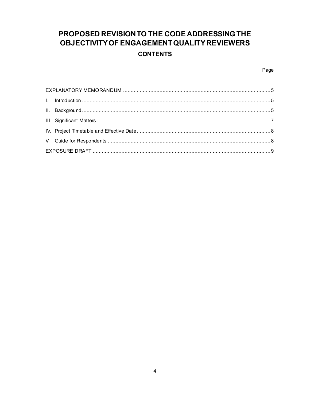# PROPOSED REVISION TO THE CODE ADDRESSING THE OBJECTIVITY OF ENGAGEMENT QUALITY REVIEWERS **CONTENTS**

### Page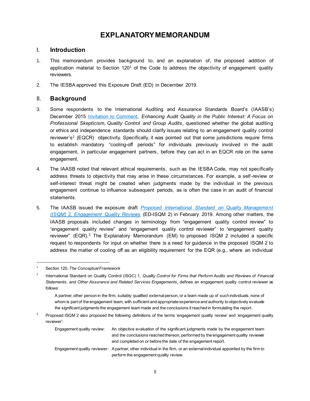# **EXPLANATORY MEMORANDUM**

# <span id="page-4-1"></span><span id="page-4-0"></span>I. **Introduction**

- 1. This memorandum provides background to, and an explanation of, the proposed addition of application material to Section 120<sup>1</sup> of the Code to address the objectivity of engagement quality reviewers.
- <span id="page-4-2"></span>2. The IESBA approved this Exposure Draft (ED) in December 2019.

# II. **Background**

- 3. Some respondents to the International Auditing and Assurance Standards Board's (IAASB's) December 2015 [Invitation to Comment,](http://www.ifac.org/publications-resources/invitation-comment-enhancing-audit-quality-public-interest) *Enhancing Audit Quality in the Public Interest: A Focus on Professional Skepticism, Quality Control and Group Audits*, questioned whether the global auditing or ethics and independence standards should clarify issues relating to an engagement quality control reviewer's<sup>2</sup> (EQCR) objectivity. Specifically, it was pointed out that some jurisdictions require firms to establish mandatory "cooling-off periods" for individuals previously involved in the audit engagement, in particular engagement partners, before they can act in an EQCR role on the same engagement.
- 4. The IAASB noted that relevant ethical requirements, such as the IESBA Code, may not specifically address threats to objectivity that may arise in these circumstances. For example, a self-review or self-interest threat might be created when judgments made by the individual in the previous engagement continue to influence subsequent periods, as is often the case in an audit of financial statements.
- 5. The IAASB issued the exposure draft *Proposed International [Standard on Quality Management](https://www.ifac.org/system/files/publications/files/IAASB-Proposed-ISQM-2-Explanatory-Memorandum.pdf)  [\(ISQM\) 2, Engagement Quality Reviews](https://www.ifac.org/system/files/publications/files/IAASB-Proposed-ISQM-2-Explanatory-Memorandum.pdf)* (ED-ISQM 2) in February 2019. Among other matters, the IAASB proposals included changes in terminology from "engagement quality control review" to "engagement quality review" and "engagement quality control reviewer" to "engagement quality reviewer" (EQR).<sup>3</sup> The Explanatory Memorandum (EM) to proposed ISQM 2 included a specific request to respondents for input on whether there is a need for guidance in the proposed ISQM 2 to address the matter of cooling off as an eligibility requirement for the EQR (e.g., where an individual

<sup>1</sup> Section 120, *The Conceptual Framework*

<sup>2</sup> International Standard on Quality Control (ISQC) 1, *Quality Control for Firms that Perform Audits and Reviews of Financial Statements, and Other Assurance and Related Services Engagements*¸ defines an engagement quality control reviewer as follows:

A partner, other person in the firm, suitably qualified external person, or a team made up of such individuals, none of whom is part of the engagement team, with sufficient and appropriate experience and authority to objectively evaluate the significant judgments the engagement team made and the conclusions it reached in formulating the report.

<sup>3</sup> Proposed ISQM 2 also proposed the following definitions of the terms 'engagement quality review' and 'engagement quality reviewer':

Engagement quality review: An objective evaluation of the significant judgments made by the engagement team and the conclusions reached thereon, performed by the engagement quality reviewer and completed on or before the date of the engagement report. Engagement quality reviewer: A partner, other individual in the firm, or an external individual appointed by the firm to perform the engagement quality review.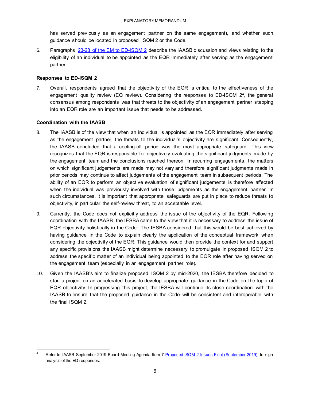has served previously as an engagement partner on the same engagement), and whether such guidance should be located in proposed ISQM 2 or the Code.

6. Paragraphs [23-28 of the EM to ED-ISQM 2](https://www.ifac.org/system/files/publications/files/IAASB-Proposed-ISQM-2-Explanatory-Memorandum.pdf) describe the IAASB discussion and views relating to the eligibility of an individual to be appointed as the EQR immediately after serving as the engagement partner.

### **Responses to ED-ISQM 2**

7. Overall, respondents agreed that the objectivity of the EQR is critical to the effectiveness of the engagement quality review (EQ review). Considering the responses to ED-ISQM 2<sup>4</sup>, the general consensus among respondents was that threats to the objectivity of an engagement partner stepping into an EQR role are an important issue that needs to be addressed.

### **Coordination with the IAASB**

- 8. The IAASB is of the view that when an individual is appointed as the EQR immediately after serving as the engagement partner, the threats to the individual's objectivity are significant. Consequently, the IAASB concluded that a cooling-off period was the most appropriate safeguard. This view recognizes that the EQR is responsible for objectively evaluating the significant judgments made by the engagement team and the conclusions reached thereon. In recurring engagements, the matters on which significant judgements are made may not vary and therefore significant judgments made in prior periods may continue to affect judgements of the engagement team in subsequent periods. The ability of an EQR to perform an objective evaluation of significant judgements is therefore affected when the individual was previously involved with those judgements as the engagement partner. In such circumstances, it is important that appropriate safeguards are put in place to reduce threats to objectivity, in particular the self-review threat, to an acceptable level.
- 9. Currently, the Code does not explicitly address the issue of the objectivity of the EQR. Following coordination with the IAASB, the IESBA came to the view that it is necessary to address the issue of EQR objectivity holistically in the Code. The IESBA considered that this would be best achieved by having guidance in the Code to explain clearly the application of the conceptual framework when considering the objectivity of the EQR. This guidance would then provide the context for and support any specific provisions the IAASB might determine necessary to promulgate in proposed ISQM 2 to address the specific matter of an individual being appointed to the EQR role after having served on the engagement team (especially in an engagement partner role).
- 10. Given the IAASB's aim to finalize proposed ISQM 2 by mid-2020, the IESBA therefore decided to start a project on an accelerated basis to develop appropriate guidance in the Code on the topic of EQR objectivity. In progressing this project, the IESBA will continue its close coordination with the IAASB to ensure that the proposed guidance in the Code will be consistent and interoperable with the final ISQM 2.

Refer to IAASB September 2019 Board Meeting Agenda Item 7 [Proposed ISQM 2 Issues Final \(September 2019\)](https://www.ifac.org/system/files/meetings/files/20190916-IAASB-Agenda-Item-7-Proposed-ISQM-2-Issues_Final.pdf) to sight analysis of the ED responses.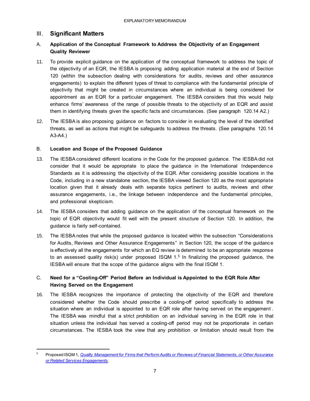# <span id="page-6-0"></span>III. **Significant Matters**

## A. **Application of the Conceptual Framework to Address the Objectivity of an Engagement Quality Reviewer**

- 11. To provide explicit guidance on the application of the conceptual framework to address the topic of the objectivity of an EQR, the IESBA is proposing adding application material at the end of Section 120 (within the subsection dealing with considerations for audits, reviews and other assurance engagements) to explain the different types of threat to compliance with the fundamental principle of objectivity that might be created in circumstances where an individual is being considered for appointment as an EQR for a particular engagement. The IESBA considers that this would help enhance firms' awareness of the range of possible threats to the objectivity of an EQR and assist them in identifying threats given the specific facts and circumstances. (See paragraph 120.14 A2.)
- 12. The IESBA is also proposing guidance on factors to consider in evaluating the level of the identified threats, as well as actions that might be safeguards to address the threats. (See paragraphs 120.14 A3-A4.)

### B. **Location and Scope of the Proposed Guidance**

- 13. The IESBA considered different locations in the Code for the proposed guidance. The IESBA did not consider that it would be appropriate to place the guidance in the International Independence Standards as it is addressing the objectivity of the EQR. After considering possible locations in the Code, including in a new standalone section, the IESBA viewed Section 120 as the most appropriate location given that it already deals with separate topics pertinent to audits, reviews and other assurance engagements, i.e., the linkage between independence and the fundamental principles, and professional skepticism.
- 14. The IESBA considers that adding guidance on the application of the conceptual framework on the topic of EQR objectivity would fit well with the present structure of Section 120. In addition, the guidance is fairly self-contained.
- 15. The IESBA notes that while the proposed guidance is located within the subsection "Considerations for Audits, Reviews and Other Assurance Engagements" in Section 120, the scope of the guidance is effectively all the engagements for which an EQ review is determined to be an appropriate response to an assessed quality risk(s) under proposed  $ISQM 1.5$  In finalizing the proposed guidance, the IESBA will ensure that the scope of the guidance aligns with the final ISQM 1.

## C. **Need for a "Cooling-Off" Period Before an Individual is Appointed to the EQR Role After Having Served on the Engagement**

16. The IESBA recognizes the importance of protecting the objectivity of the EQR and therefore considered whether the Code should prescribe a cooling-off period specifically to address the situation where an individual is appointed to an EQR role after having served on the engagement . The IESBA was mindful that a strict prohibition on an individual serving in the EQR role in that situation unless the individual has served a cooling-off period may not be proportionate in certain circumstances. The IESBA took the view that any prohibition or limitation should result from the

<sup>5</sup> Proposed ISQM 1, *[Quality Management for Firms that Perform Audits or Reviews of Financial Statements, or Other Assurance](https://www.ifac.org/system/files/publications/files/IAASB-Proposed-ISQM-1-Explanatory-Memorandum.pdf)  [or Related Services Engagements.](https://www.ifac.org/system/files/publications/files/IAASB-Proposed-ISQM-1-Explanatory-Memorandum.pdf)*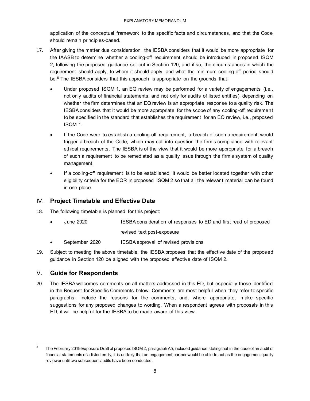application of the conceptual framework to the specific facts and circumstances, and that the Code should remain principles-based.

- <span id="page-7-0"></span>17. After giving the matter due consideration, the IESBA considers that it would be more appropriate for the IAASB to determine whether a cooling-off requirement should be introduced in proposed ISQM 2, following the proposed guidance set out in Section 120, and if so, the circumstances in which the requirement should apply, to whom it should apply, and what the minimum cooling-off period should be. <sup>6</sup> The IESBA considers that this approach is appropriate on the grounds that:
	- Under proposed ISQM 1, an EQ review may be performed for a variety of engagements (i.e., not only audits of financial statements, and not only for audits of listed entities), depending on whether the firm determines that an EQ review is an appropriate response to a quality risk. The IESBA considers that it would be more appropriate for the scope of any cooling-off requirement to be specified in the standard that establishes the requirement for an EQ review, i.e., proposed ISQM 1.
	- If the Code were to establish a cooling-off requirement, a breach of such a requirement would trigger a breach of the Code, which may call into question the firm's compliance with relevant ethical requirements. The IESBA is of the view that it would be more appropriate for a breach of such a requirement to be remediated as a quality issue through the firm's system of quality management.
	- If a cooling-off requirement is to be established, it would be better located together with other eligibility criteria for the EQR in proposed ISQM 2 so that all the relevant material can be found in one place.

# IV. **Project Timetable and Effective Date**

- 18. The following timetable is planned for this project:
	- June 2020 IESBA consideration of responses to ED and first read of proposed revised text post-exposure
	- September 2020 IESBA approval of revised provisions
- 19. Subject to meeting the above timetable, the IESBA proposes that the effective date of the proposed guidance in Section 120 be aligned with the proposed effective date of ISQM 2.

# <span id="page-7-1"></span>V. **Guide for Respondents**

20. The IESBA welcomes comments on all matters addressed in this ED, but especially those identified in the Request for Specific Comments below. Comments are most helpful when they refer to specific paragraphs, include the reasons for the comments, and, where appropriate, make specific suggestions for any proposed changes to wording. When a respondent agrees with proposals in this ED, it will be helpful for the IESBA to be made aware of this view.

<sup>6</sup> The February 2019 Exposure Draft of proposed ISQM 2, paragraph A5, included guidance stating that in the case of an audit of financial statements of a listed entity, it is unlikely that an engagement partner would be able to act as the engagement quality reviewer until two subsequent audits have been conducted.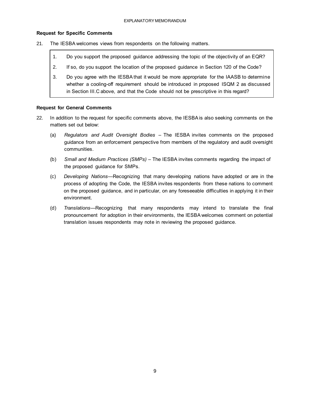#### **Request for Specific Comments**

- 21. The IESBA welcomes views from respondents on the following matters.
	- 1. Do you support the proposed guidance addressing the topic of the objectivity of an EQR?
	- 2. If so, do you support the location of the proposed guidance in Section 120 of the Code?
	- 3. Do you agree with the IESBA that it would be more appropriate for the IAASB to determine whether a cooling-off requirement should be introduced in proposed ISQM 2 as discussed in Section III.C above, and that the Code should not be prescriptive in this regard?

#### **Request for General Comments**

- 22. In addition to the request for specific comments above, the IESBA is also seeking comments on the matters set out below:
	- (a) *Regulators and Audit Oversight Bodies –* The IESBA invites comments on the proposed guidance from an enforcement perspective from members of the regulatory and audit oversight communities.
	- (b) *Small and Medium Practices (SMPs)* The IESBA invites comments regarding the impact of the proposed guidance for SMPs.
	- (c) *Developing Nations*—Recognizing that many developing nations have adopted or are in the process of adopting the Code, the IESBA invites respondents from these nations to comment on the proposed guidance, and in particular, on any foreseeable difficulties in applying it in their environment.
	- (d) *Translations*—Recognizing that many respondents may intend to translate the final pronouncement for adoption in their environments, the IESBA welcomes comment on potential translation issues respondents may note in reviewing the proposed guidance.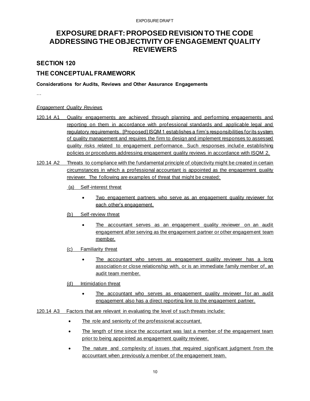# <span id="page-9-0"></span>**EXPOSURE DRAFT: PROPOSED REVISION TO THE CODE ADDRESSING THE OBJECTIVITY OF ENGAGEMENT QUALITY REVIEWERS**

### **SECTION 120**

# **THE CONCEPTUAL FRAMEWORK**

#### **Considerations for Audits, Reviews and Other Assurance Engagements**

…

#### *Engagement Quality Reviews*

- 120.14 A1 Quality engagements are achieved through planning and performing engagements and reporting on them in accordance with professional standards and applicable legal and regulatory requirements. [Proposed] ISQM 1 establishes a firm's responsibilities for its system of quality management and requires the firm to design and implement responses to assessed quality risks related to engagement performance. Such responses includ e establishing policies or procedures addressing engagement quality reviews in accordance with ISQM 2.
- 120.14 A2 Threats to compliance with the fundamental principle of objectivity might be created in certain circumstances in which a professional accountant is appointed as the engagement quality reviewer. The following are examples of threat that might be created:
	- (a) Self-interest threat
		- Two engagement partners who serve as an engagement quality reviewer for each other's engagement.
	- (b) Self-review threat
		- The accountant serves as an engagement quality reviewer on an audit engagement after serving as the engagement partner or other engagement team member.
	- (c) Familiarity threat
		- The accountant who serves as engagement quality reviewer has a long association or close relationship with, or is an immediate family member of, an audit team member.
	- (d) Intimidation threat
		- The accountant who serves as engagement quality reviewer for an audit engagement also has a direct reporting line to the engagement partner.
- 120.14 A3 Factors that are relevant in evaluating the level of such threats include:
	- The role and seniority of the professional accountant.
	- The length of time since the accountant was last a member of the engagement team prior to being appointed as engagement quality reviewer.
	- The nature and complexity of issues that required significant judgment from the accountant when previously a member of the engagement team.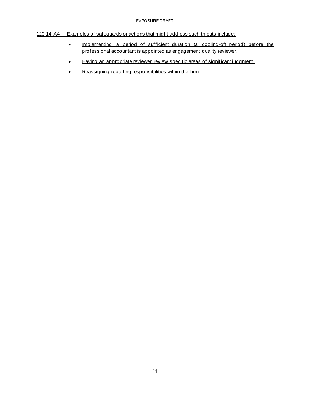#### EXPOSURE DRAFT

### 120.14 A4 Examples of safeguards or actions that might address such threats include:

- Implementing a period of sufficient duration (a cooling-off period) before the professional accountant is appointed as engagement quality reviewer.
- Having an appropriate reviewer review specific areas of significant judgment.
- Reassigning reporting responsibilities within the firm.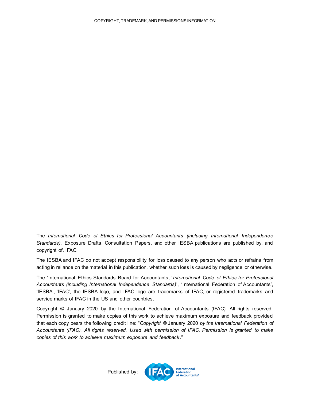The *International Code of Ethics for Professional Accountants (including International Independence Standards)*, Exposure Drafts, Consultation Papers, and other IESBA publications are published by, and copyright of, IFAC.

The IESBA and IFAC do not accept responsibility for loss caused to any person who acts or refrains from acting in reliance on the material in this publication, whether such loss is caused by negligence or otherwise.

The 'International Ethics Standards Board for Accountants, '*International Code of Ethics for Professional Accountants (including International Independence Standards)*', 'International Federation of Accountants', 'IESBA', 'IFAC', the IESBA logo, and IFAC logo are trademarks of IFAC, or registered trademarks and service marks of IFAC in the US and other countries.

<span id="page-11-0"></span>Copyright © January 2020 by the International Federation of Accountants (IFAC). All rights reserved. Permission is granted to make copies of this work to achieve maximum exposure and feedback provided that each copy bears the following credit line: "*Copyright ©* January 2020 *by the International Federation of Accountants (IFAC). All rights reserved. Used with permission of IFAC. Permission is granted to make copies of this work to achieve maximum exposure and feedback*."